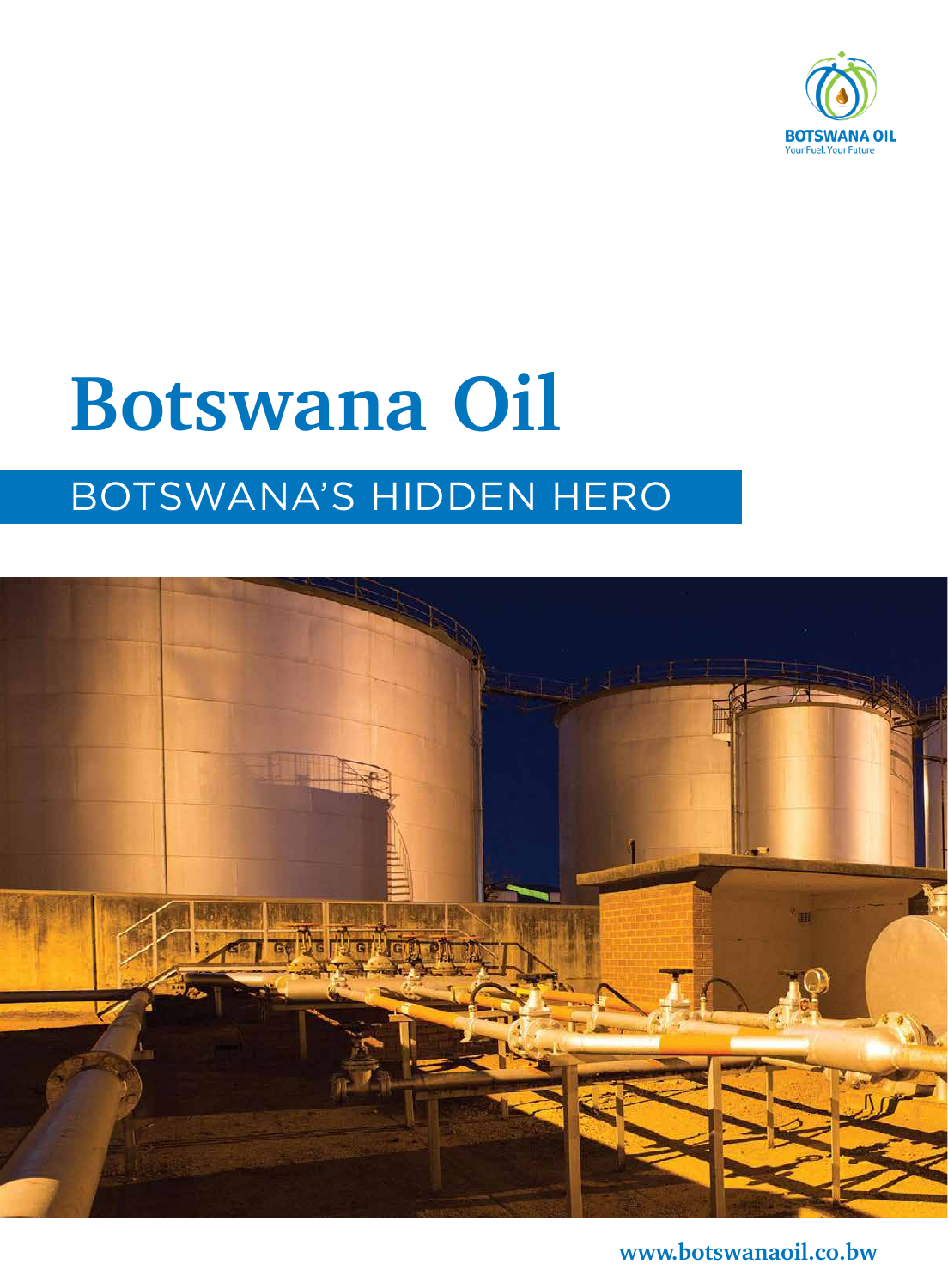

## **Botswana Oil** BOTSWANA'S HIDDEN HERO



**www.botswanaoil.co.bw**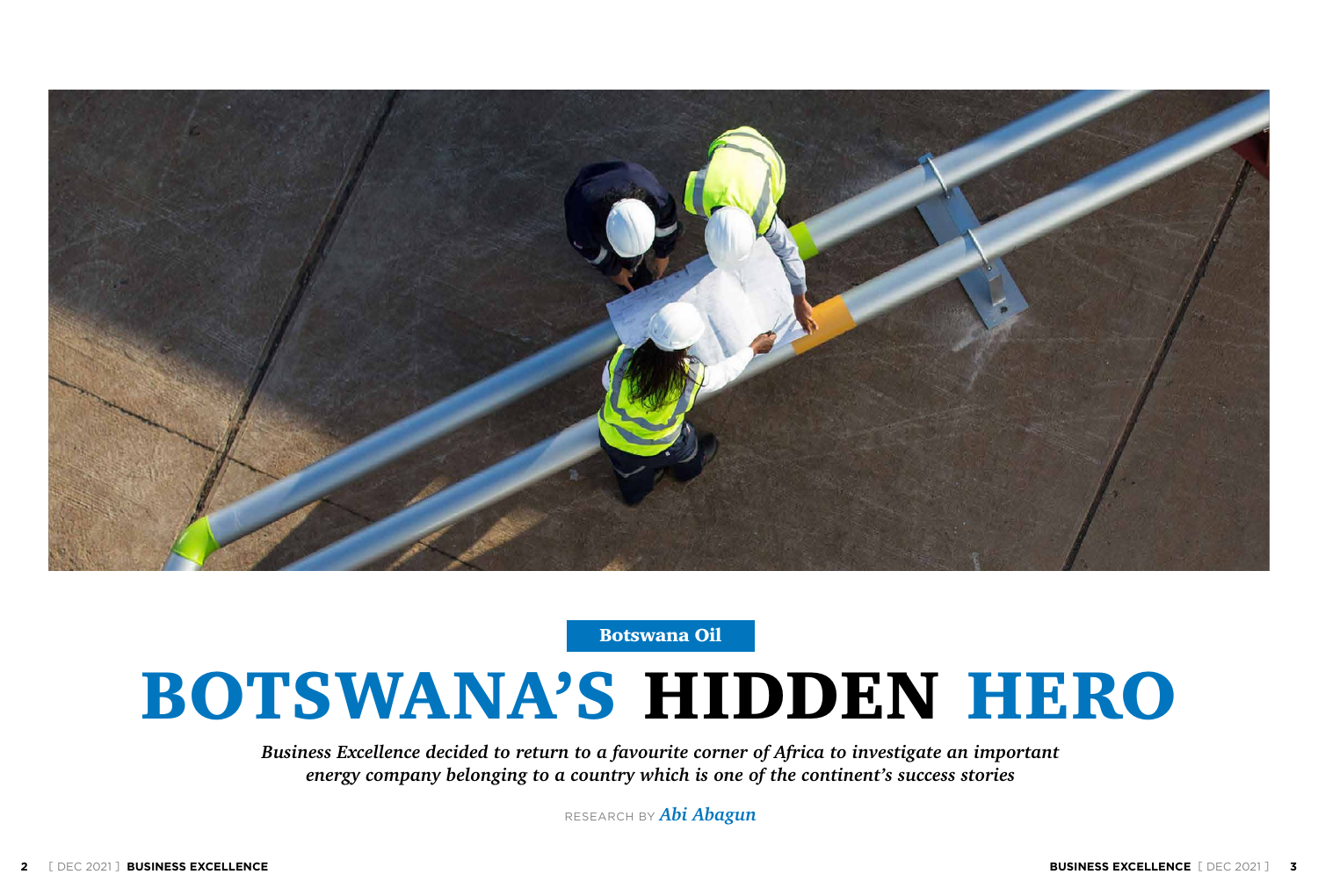*Business Excellence decided to return to a favourite corner of Africa to investigate an important energy company belonging to a country which is one of the continent's success stories*

RESEARCH BY *Abi Abagun*





Botswana Oil

# BOTSWANA'S HIDDEN HERO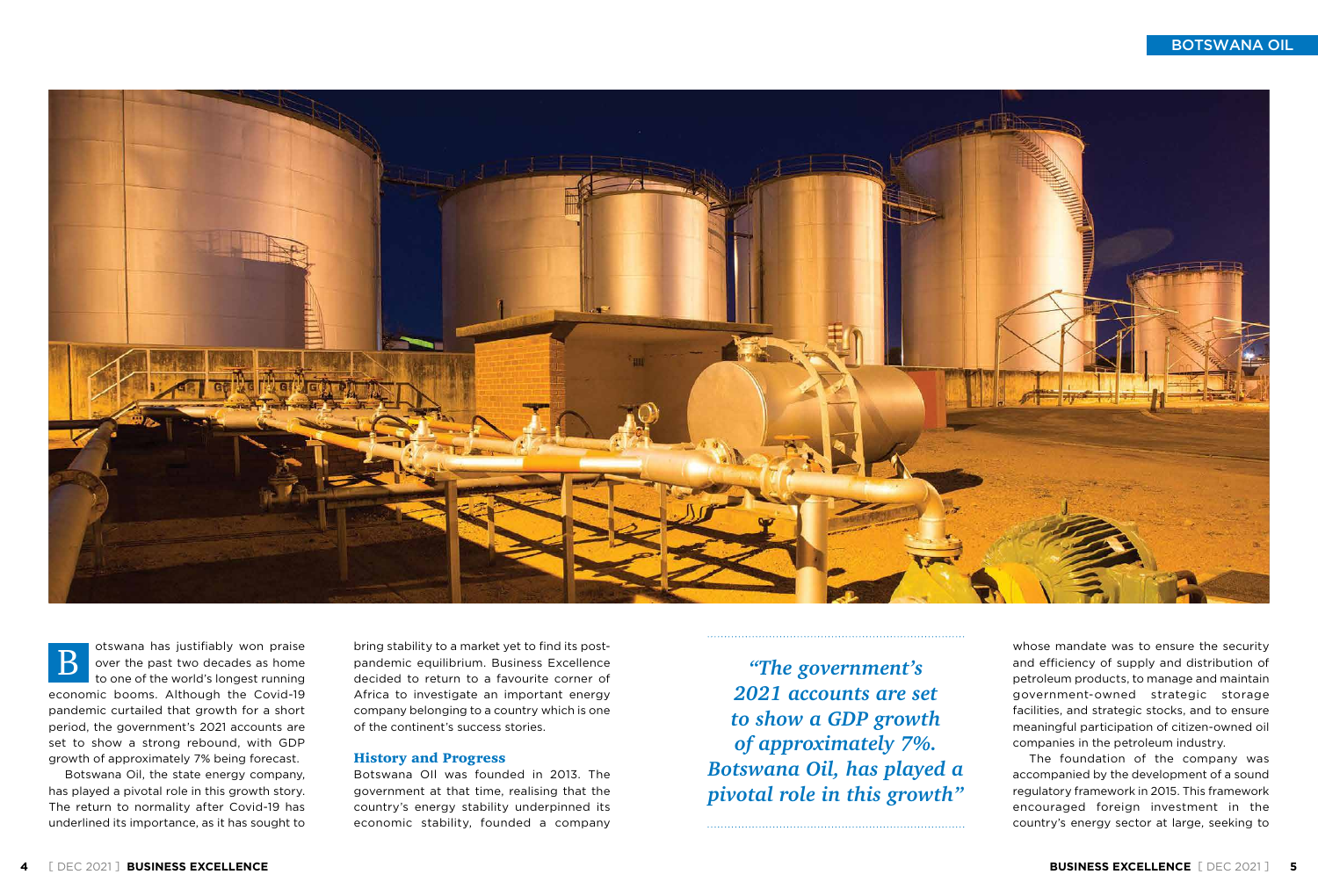Botswana Oil, the state energy company, has played a pivotal role in this growth story. The return to normality after Covid-19 has underlined its importance, as it has sought to



otswana has justifiably won praise over the past two decades as home to one of the world's longest running economic booms. Although the Covid-19 pandemic curtailed that growth for a short period, the government's 2021 accounts are set to show a strong rebound, with GDP growth of approximately 7% being forecast. B

bring stability to a market yet to find its postpandemic equilibrium. Business Excellence decided to return to a favourite corner of Africa to investigate an important energy company belonging to a country which is one of the continent's success stories.

## History and Progress

Botswana OIl was founded in 2013. The government at that time, realising that the country's energy stability underpinned its economic stability, founded a company

BOTSWANA OIL

*"The government's 2021 accounts are set to show a GDP growth of approximately 7%. Botswana Oil, has played a pivotal role in this growth"* whose mandate was to ensure the security and efficiency of supply and distribution of petroleum products, to manage and maintain government-owned strategic storage facilities, and strategic stocks, and to ensure meaningful participation of citizen-owned oil companies in the petroleum industry. The foundation of the company was accompanied by the development of a sound regulatory framework in 2015. This framework encouraged foreign investment in the country's energy sector at large, seeking to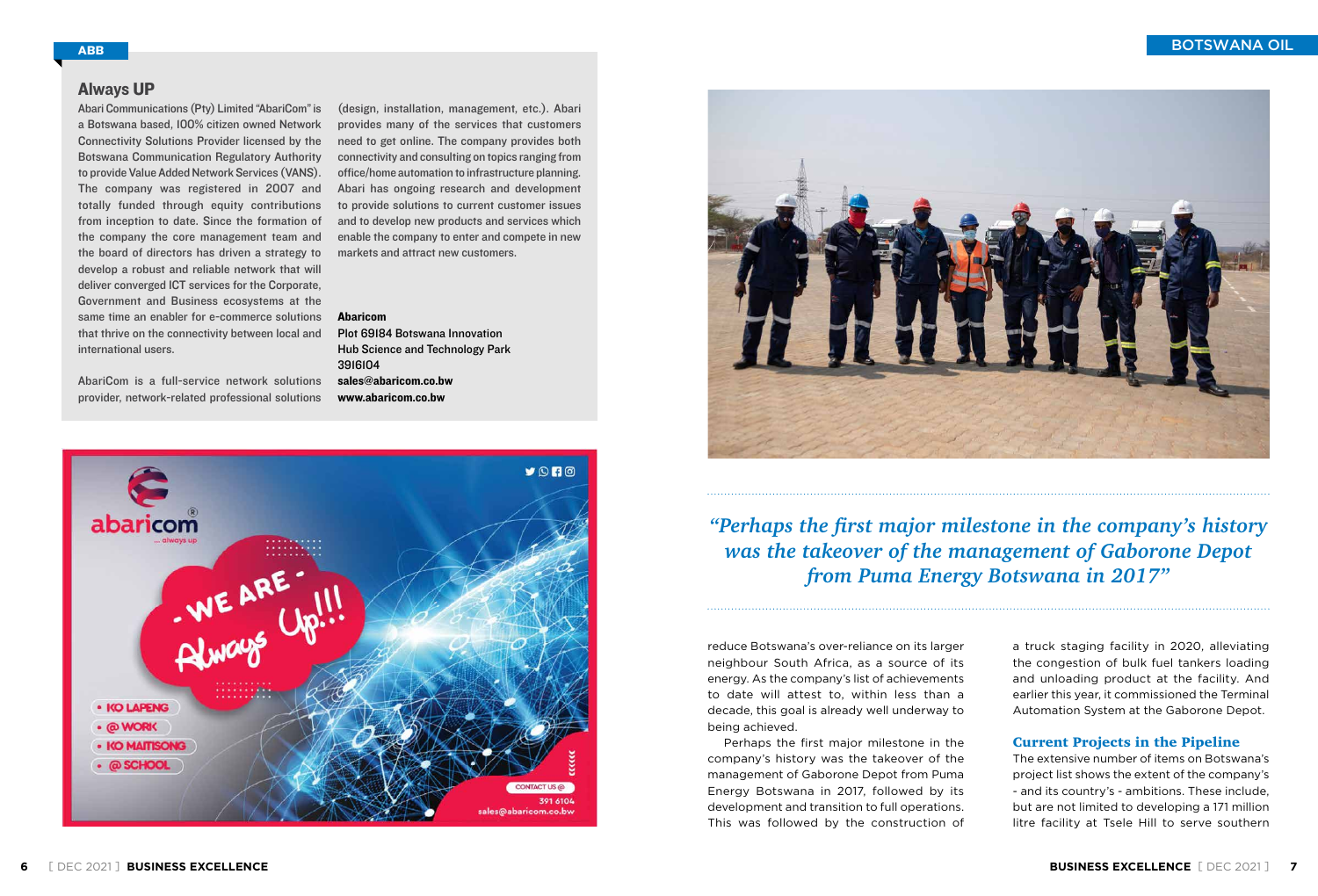BOTSWANA OIL

reduce Botswana's over-reliance on its larger neighbour South Africa, as a source of its energy. As the company's list of achievements to date will attest to, within less than a decade, this goal is already well underway to being achieved.

Perhaps the first major milestone in the company's history was the takeover of the management of Gaborone Depot from Puma Energy Botswana in 2017, followed by its development and transition to full operations. This was followed by the construction of

*"Perhaps the first major milestone in the company's history was the takeover of the management of Gaborone Depot from Puma Energy Botswana in 2017"*

> a truck staging facility in 2020, alleviating the congestion of bulk fuel tankers loading and unloading product at the facility. And earlier this year, it commissioned the Terminal Automation System at the Gaborone Depot.

## Current Projects in the Pipeline

The extensive number of items on Botswana's project list shows the extent of the company's - and its country's - ambitions. These include, but are not limited to developing a 171 million litre facility at Tsele Hill to serve southern

Abari Communications (Pty) Limited "AbariCom"is a Botswana based, 100% citizen owned Network Connectivity Solutions Provider licensed by the Botswana Communication Regulatory Authority to provide Value Added Network Services (VANS). The company was registered in 2007 and totally funded through equity contributions from inception to date. Since the formation of the company the core management team and the board of directors has driven a strategy to develop a robust and reliable network that will deliver converged ICT services for the Corporate, Government and Business ecosystems at the same time an enabler for e-commerce solutions that thrive on the connectivity between local and international users.

AbariCom is a full-service network solutions provider, network-related professional solutions

(design, installation, management, etc.). Abari provides many of the services that customers need to get online. The company provides both connectivity and consulting on topics ranging from office/home automation to infrastructure planning. Abari has ongoing research and development to provide solutions to current customer issues and to develop new products and services which enable the company to enter and compete in new markets and attract new customers.

### Abaricom

Plot 69184 Botswana Innovation Hub Science and Technology Park 3916104 sales@abaricom.co.bw www.abaricom.co.bw





## Always UP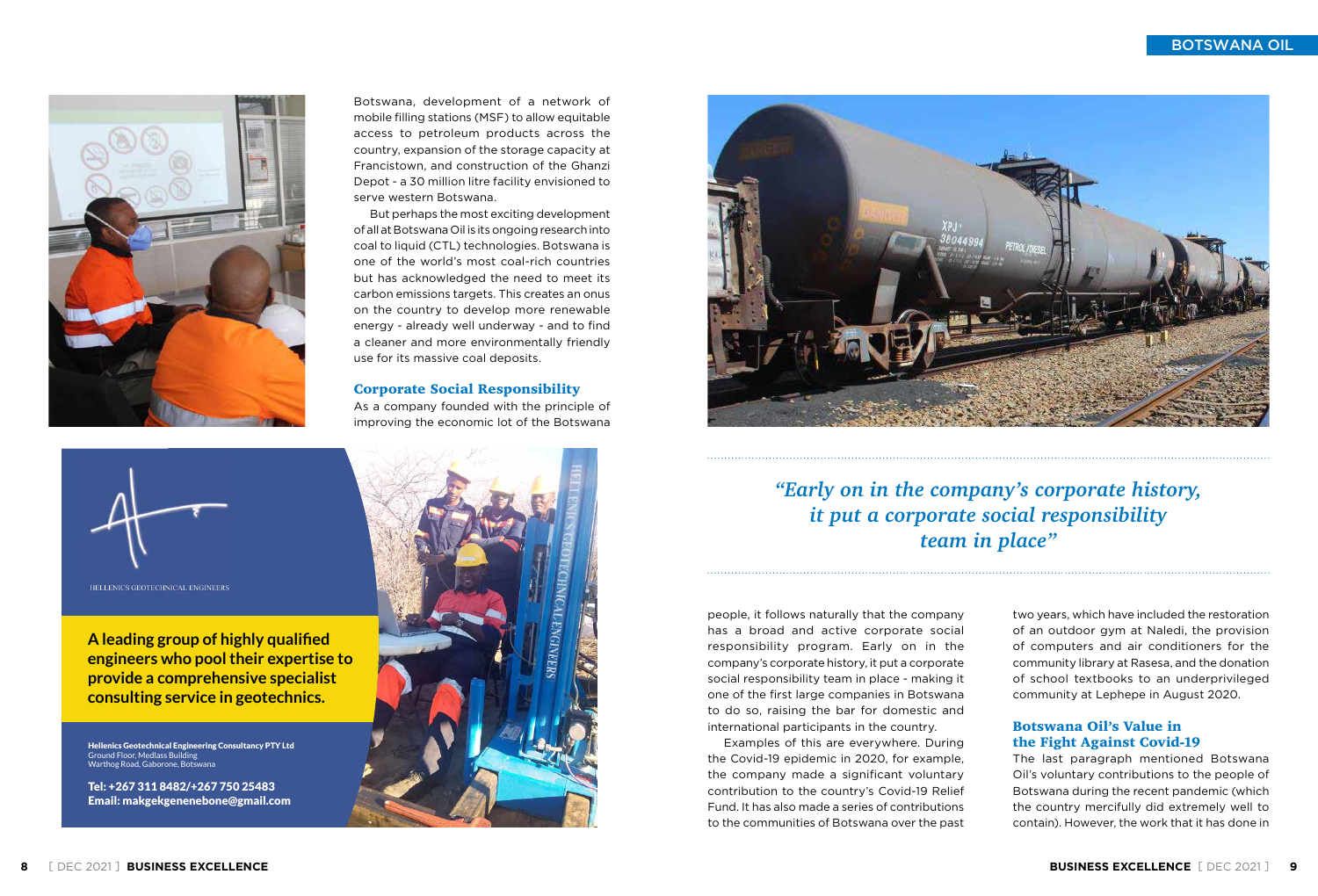



HELLENICS GEOTECHNICAL ENGINEERS

Botswana, development of a network of mobile filling stations (MSF) to allow equitable access to petroleum products across the country, expansion of the storage capacity at Francistown, and construction of the Ghanzi Depot - a 30 million litre facility envisioned to serve western Botswana.

But perhaps the most exciting development of all at Botswana Oil is its ongoing research into coal to liquid (CTL) technologies. Botswana is one of the world's most coal-rich countries but has acknowledged the need to meet its carbon emissions targets. This creates an onus on the country to develop more renewable energy - already well underway - and to find a cleaner and more environmentally friendly use for its massive coal deposits.

## Corporate Social Responsibility

As a company founded with the principle of improving the economic lot of the Botswana





BOTSWANA OIL

*"Early on in the company's corporate history, it put a corporate social responsibility team in place"*

Hellenics Geotechnical Engineering Consultancy PTY Ltd Ground Floor, Medlass Building Warthog Road, Gaborone, Botswana

people, it follows naturally that the company has a broad and active corporate social responsibility program. Early on in the company's corporate history, it put a corporate social responsibility team in place - making it one of the first large companies in Botswana to do so, raising the bar for domestic and international participants in the country.

Examples of this are everywhere. During the Covid-19 epidemic in 2020, for example, the company made a significant voluntary contribution to the country's Covid-19 Relief Fund. It has also made a series of contributions to the communities of Botswana over the past

two years, which have included the restoration of an outdoor gym at Naledi, the provision of computers and air conditioners for the community library at Rasesa, and the donation of school textbooks to an underprivileged community at Lephepe in August 2020.

## Botswana Oil's Value in the Fight Against Covid-19

The last paragraph mentioned Botswana Oil's voluntary contributions to the people of Botswana during the recent pandemic (which the country mercifully did extremely well to contain). However, the work that it has done in

**A leading group of highly qualified [engineers who pool their expertise to](mailto:makgekgenenebone%40gmail.com?subject=)  provide a comprehensive specialist consulting service in geotechnics.**

Tel: +267 311 8482/+267 750 25483 Email: makgekgenenebone@gmail.com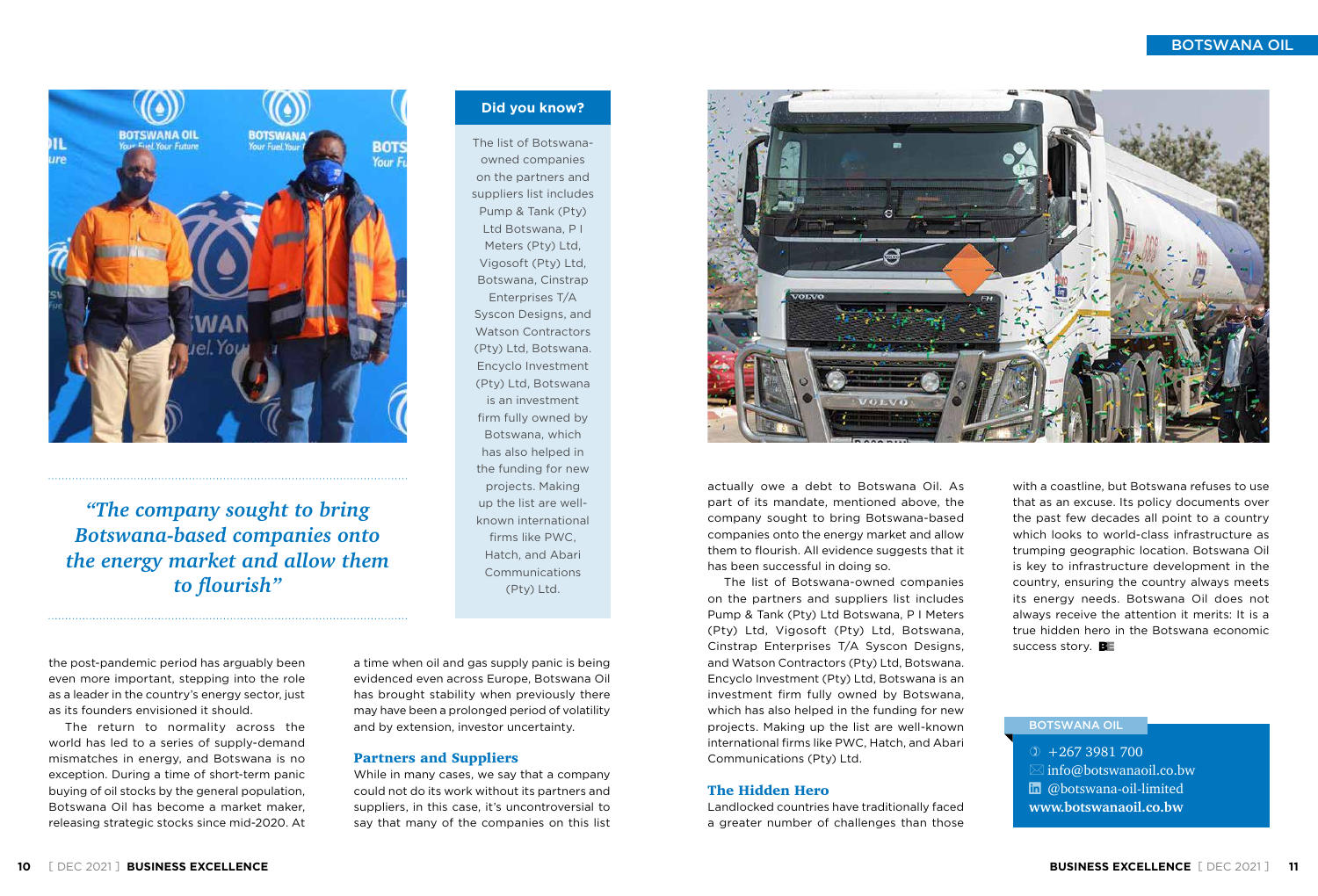BOTSWANA OIL

actually owe a debt to Botswana Oil. As part of its mandate, mentioned above, the company sought to bring Botswana-based companies onto the energy market and allow them to flourish. All evidence suggests that it has been successful in doing so.

The list of Botswana-owned companies on the partners and suppliers list includes Pump & Tank (Pty) Ltd Botswana, P I Meters (Pty) Ltd, Vigosoft (Pty) Ltd, Botswana, Cinstrap Enterprises T/A Syscon Designs, and Watson Contractors (Pty) Ltd, Botswana. Encyclo Investment (Pty) Ltd, Botswana is an investment firm fully owned by Botswana, which has also helped in the funding for new projects. Making up the list are well-known international firms like PWC, Hatch, and Abari Communications (Pty) Ltd.

with a coastline, but Botswana refuses to use that as an excuse. Its policy documents over the past few decades all point to a country which looks to world-class infrastructure as trumping geographic location. Botswana Oil is key to infrastructure development in the country, ensuring the country always meets its energy needs. Botswana Oil does not always receive the attention it merits: It is a true hidden hero in the Botswana economic success story.  $B_{\Xi}$ 

## The Hidden Hero

Landlocked countries have traditionally faced a greater number of challenges than those

the post-pandemic period has arguably been even more important, stepping into the role as a leader in the country's energy sector, just as its founders envisioned it should.

The return to normality across the world has led to a series of supply-demand mismatches in energy, and Botswana is no exception. During a time of short-term panic buying of oil stocks by the general population, Botswana Oil has become a market maker, releasing strategic stocks since mid-2020. At

a time when oil and gas supply panic is being evidenced even across Europe, Botswana Oil has brought stability when previously there may have been a prolonged period of volatility and by extension, investor uncertainty.

## Partners and Suppliers

While in many cases, we say that a company could not do its work without its partners and suppliers, in this case, it's uncontroversial to say that many of the companies on this list



**www.botswanaoil.co.bw**

### BOTSWANA OIL

 $\textcircled{1}$  +267 3981 700  $\boxtimes$  info@botswanaoil.co.bw

 $\ln$  @botswana-oil-limited



*"The company sought to bring Botswana-based companies onto the energy market and allow them to flourish"*

The list of Botswanaowned companies on the partners and suppliers list includes Pump & Tank (Pty) Ltd Botswana, P I Meters (Pty) Ltd, Vigosoft (Pty) Ltd, Botswana, Cinstrap Enterprises T/A Syscon Designs, and Watson Contractors (Pty) Ltd, Botswana. Encyclo Investment (Pty) Ltd, Botswana is an investment firm fully owned by Botswana, which has also helped in the funding for new projects. Making up the list are wellknown international firms like PWC, Hatch, and Abari Communications (Pty) Ltd.

**Did you know?**